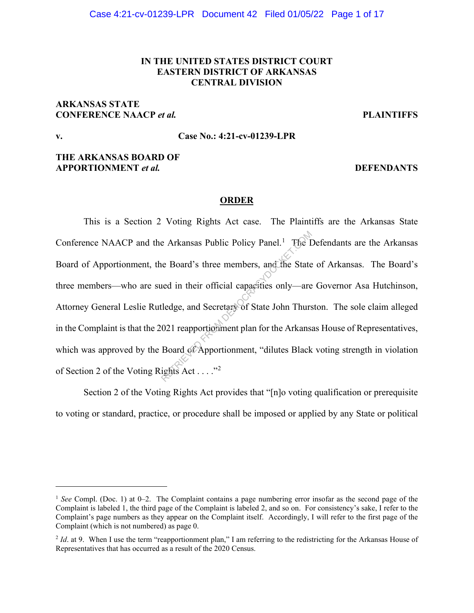## **IN THE UNITED STATES DISTRICT COURT EASTERN DISTRICT OF ARKANSAS CENTRAL DIVISION**

# **ARKANSAS STATE CONFERENCE NAACP** *et al.* **PLAINTIFFS**

# **v. Case No.: 4:21-cv-01239-LPR**

## **THE ARKANSAS BOARD OF APPORTIONMENT** *et al.* **DEFENDANTS**

## **ORDER**

This is a Section 2 Voting Rights Act case. The Plaintiffs are the Arkansas State Conference NAACP and the Arkansas Public Policy Panel.<sup>1</sup> The Defendants are the Arkansas Board of Apportionment, the Board's three members, and the State of Arkansas. The Board's three members—who are sued in their official capacities only—are Governor Asa Hutchinson, Attorney General Leslie Rutledge, and Secretary of State John Thurston. The sole claim alleged in the Complaint is that the 2021 reapportionment plan for the Arkansas House of Representatives, which was approved by the Board of Apportionment, "dilutes Black voting strength in violation of Section 2 of the Voting Rights Act . . . ."<sup>2</sup> e Arkansas Public Policy Panel.<sup>1</sup> The I<br>ne Board's three members, and the State<br>ned in their official capacities only—are<br>tledge, and Secretary of State John Thurs<br>021 reapportionment plan for the Arkans.<br>Board of Apport

Section 2 of the Voting Rights Act provides that "[n]o voting qualification or prerequisite to voting or standard, practice, or procedure shall be imposed or applied by any State or political

<sup>1</sup> *See* Compl. (Doc. 1) at 0–2. The Complaint contains a page numbering error insofar as the second page of the Complaint is labeled 1, the third page of the Complaint is labeled 2, and so on. For consistency's sake, I refer to the Complaint's page numbers as they appear on the Complaint itself. Accordingly, I will refer to the first page of the Complaint (which is not numbered) as page 0.

<sup>&</sup>lt;sup>2</sup> *Id*. at 9. When I use the term "reapportionment plan," I am referring to the redistricting for the Arkansas House of Representatives that has occurred as a result of the 2020 Census.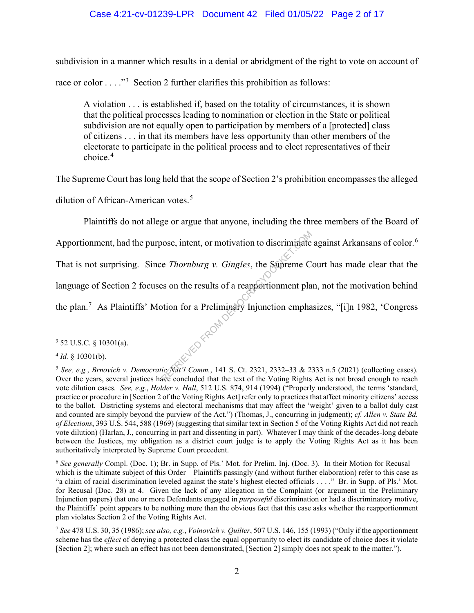## Case 4:21-cv-01239-LPR Document 42 Filed 01/05/22 Page 2 of 17

subdivision in a manner which results in a denial or abridgment of the right to vote on account of race or color  $\dots$ <sup>3</sup> Section 2 further clarifies this prohibition as follows:

A violation . . . is established if, based on the totality of circumstances, it is shown that the political processes leading to nomination or election in the State or political subdivision are not equally open to participation by members of a [protected] class of citizens . . . in that its members have less opportunity than other members of the electorate to participate in the political process and to elect representatives of their choice.<sup>4</sup>

The Supreme Court has long held that the scope of Section 2's prohibition encompasses the alleged

dilution of African-American votes. 5

Plaintiffs do not allege or argue that anyone, including the three members of the Board of Apportionment, had the purpose, intent, or motivation to discriminate against Arkansans of color.<sup>6</sup>

That is not surprising. Since *Thornburg v. Gingles*, the Supreme Court has made clear that the

language of Section 2 focuses on the results of a reapportionment plan, not the motivation behind

the plan.<sup>7</sup> As Plaintiffs' Motion for a Preliminary Injunction emphasizes, "[i]n 1982, 'Congress **RENED FROM DEMOCRACY** 

<sup>3</sup> 52 U.S.C. § 10301(a).

<sup>4</sup> *Id.* § 10301(b).

<sup>5</sup> *See, e.g.*, *Brnovich v. Democratic Nat'l Comm.*, 141 S. Ct. 2321, 2332–33 & 2333 n.5 (2021) (collecting cases). Over the years, several justices have concluded that the text of the Voting Rights Act is not broad enough to reach vote dilution cases. *See, e.g.*, *Holder v. Hall*, 512 U.S. 874, 914 (1994) ("Properly understood, the terms 'standard, practice or procedure in [Section 2 of the Voting Rights Act] refer only to practices that affect minority citizens' access to the ballot. Districting systems and electoral mechanisms that may affect the 'weight' given to a ballot duly cast and counted are simply beyond the purview of the Act.") (Thomas, J., concurring in judgment); *cf. Allen v. State Bd. of Elections*, 393 U.S. 544, 588 (1969) (suggesting that similar text in Section 5 of the Voting Rights Act did not reach vote dilution) (Harlan, J., concurring in part and dissenting in part). Whatever I may think of the decades-long debate between the Justices, my obligation as a district court judge is to apply the Voting Rights Act as it has been authoritatively interpreted by Supreme Court precedent.

<sup>6</sup> *See generally* Compl. (Doc. 1); Br. in Supp. of Pls.' Mot. for Prelim. Inj. (Doc. 3). In their Motion for Recusal which is the ultimate subject of this Order—Plaintiffs passingly (and without further elaboration) refer to this case as "a claim of racial discrimination leveled against the state's highest elected officials . . . ." Br. in Supp. of Pls.' Mot. for Recusal (Doc. 28) at 4. Given the lack of any allegation in the Complaint (or argument in the Preliminary Injunction papers) that one or more Defendants engaged in *purposeful* discrimination or had a discriminatory motive, the Plaintiffs' point appears to be nothing more than the obvious fact that this case asks whether the reapportionment plan violates Section 2 of the Voting Rights Act.

<sup>7</sup> *See* 478 U.S. 30, 35 (1986); *see also, e.g.*, *Voinovich v. Quilter*, 507 U.S. 146, 155 (1993) ("Only if the apportionment scheme has the *effect* of denying a protected class the equal opportunity to elect its candidate of choice does it violate [Section 2]; where such an effect has not been demonstrated, [Section 2] simply does not speak to the matter.").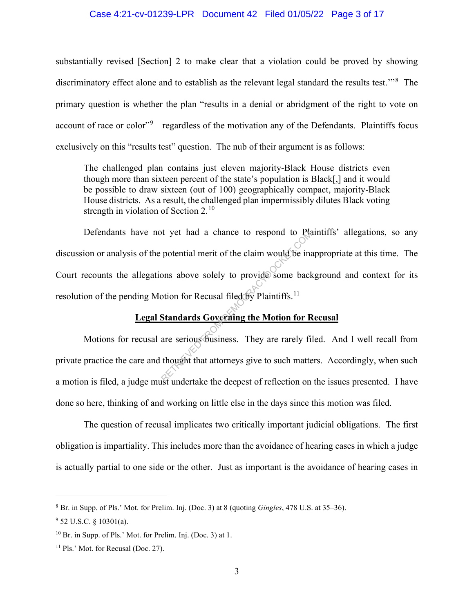#### Case 4:21-cv-01239-LPR Document 42 Filed 01/05/22 Page 3 of 17

substantially revised [Section] 2 to make clear that a violation could be proved by showing discriminatory effect alone and to establish as the relevant legal standard the results test.'"<sup>8</sup> The primary question is whether the plan "results in a denial or abridgment of the right to vote on account of race or color"<sup>9</sup>—regardless of the motivation any of the Defendants. Plaintiffs focus exclusively on this "results test" question. The nub of their argument is as follows:

The challenged plan contains just eleven majority-Black House districts even though more than sixteen percent of the state's population is Black[,] and it would be possible to draw sixteen (out of 100) geographically compact, majority-Black House districts. As a result, the challenged plan impermissibly dilutes Black voting strength in violation of Section  $2.^{10}$ 

Defendants have not yet had a chance to respond to Plaintiffs' allegations, so any discussion or analysis of the potential merit of the claim would be inappropriate at this time. The Court recounts the allegations above solely to provide some background and context for its resolution of the pending Motion for Recusal filed  $\delta \vec{y}$  Plaintiffs.<sup>11</sup> It yet had a chance to respond to Plantic protential merit of the claim would be interested by the claim would be interested by Plaintiffs.<sup>11</sup><br>Standards Governing the Motion for R<br>are serious business. They are rarely fit

## **Legal Standards Governing the Motion for Recusal**

Motions for recusal are serious business. They are rarely filed. And I well recall from private practice the care and thought that attorneys give to such matters. Accordingly, when such a motion is filed, a judge must undertake the deepest of reflection on the issues presented. I have done so here, thinking of and working on little else in the days since this motion was filed.

The question of recusal implicates two critically important judicial obligations. The first obligation is impartiality. This includes more than the avoidance of hearing cases in which a judge is actually partial to one side or the other. Just as important is the avoidance of hearing cases in

<sup>8</sup> Br. in Supp. of Pls.' Mot. for Prelim. Inj. (Doc. 3) at 8 (quoting *Gingles*, 478 U.S. at 35–36).

 $9$  52 U.S.C. § 10301(a).

<sup>10</sup> Br. in Supp. of Pls.' Mot. for Prelim. Inj. (Doc. 3) at 1.

<sup>&</sup>lt;sup>11</sup> Pls.' Mot. for Recusal (Doc. 27).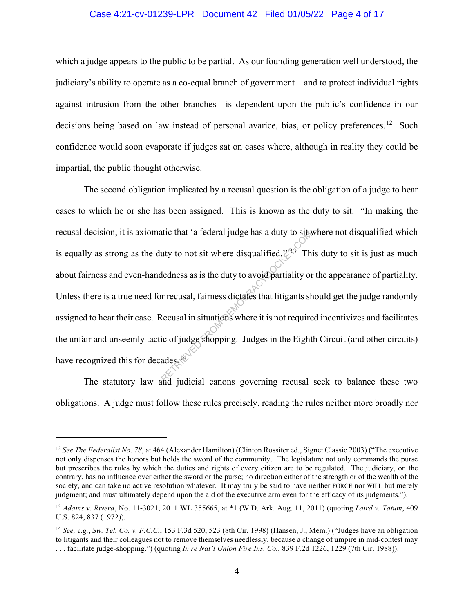#### Case 4:21-cv-01239-LPR Document 42 Filed 01/05/22 Page 4 of 17

which a judge appears to the public to be partial. As our founding generation well understood, the judiciary's ability to operate as a co-equal branch of government—and to protect individual rights against intrusion from the other branches—is dependent upon the public's confidence in our decisions being based on law instead of personal avarice, bias, or policy preferences.<sup>12</sup> Such confidence would soon evaporate if judges sat on cases where, although in reality they could be impartial, the public thought otherwise.

 The second obligation implicated by a recusal question is the obligation of a judge to hear cases to which he or she has been assigned. This is known as the duty to sit. "In making the recusal decision, it is axiomatic that 'a federal judge has a duty to sit where not disqualified which is equally as strong as the duty to not sit where disqualified. $\mathbb{Z}^{3}$  This duty to sit is just as much about fairness and even-handedness as is the duty to avoid partiality or the appearance of partiality. Unless there is a true need for recusal, fairness dictates that litigants should get the judge randomly assigned to hear their case. Recusal in situations where it is not required incentivizes and facilitates the unfair and unseemly tactic of judge shopping. Judges in the Eighth Circuit (and other circuits) have recognized this for decades.<sup>14</sup> The that 'a federal judge has a duty to subset<br>uty to not sit where disqualified.<sup>2713</sup> The<br>dedness as is the duty to avoid partiality or<br>r recusal, fairness dictates that litigants sk<br>cecusal in situations where it is not

The statutory law and judicial canons governing recusal seek to balance these two obligations. A judge must follow these rules precisely, reading the rules neither more broadly nor

<sup>&</sup>lt;sup>12</sup> See The Federalist No. 78, at 464 (Alexander Hamilton) (Clinton Rossiter ed., Signet Classic 2003) ("The executive not only dispenses the honors but holds the sword of the community. The legislature not only commands the purse but prescribes the rules by which the duties and rights of every citizen are to be regulated. The judiciary, on the contrary, has no influence over either the sword or the purse; no direction either of the strength or of the wealth of the society, and can take no active resolution whatever. It may truly be said to have neither FORCE nor WILL but merely judgment; and must ultimately depend upon the aid of the executive arm even for the efficacy of its judgments.").

<sup>13</sup> *Adams v. Rivera*, No. 11-3021, 2011 WL 355665, at \*1 (W.D. Ark. Aug. 11, 2011) (quoting *Laird v. Tatum*, 409 U.S. 824, 837 (1972)).

<sup>14</sup> *See, e.g.*, *Sw. Tel. Co. v. F.C.C.*, 153 F.3d 520, 523 (8th Cir. 1998) (Hansen, J., Mem.) ("Judges have an obligation to litigants and their colleagues not to remove themselves needlessly, because a change of umpire in mid-contest may . . . facilitate judge-shopping.") (quoting *In re Nat'l Union Fire Ins. Co.*, 839 F.2d 1226, 1229 (7th Cir. 1988)).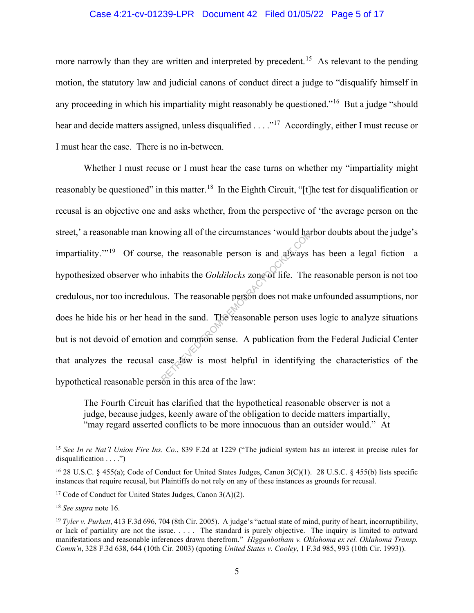#### Case 4:21-cv-01239-LPR Document 42 Filed 01/05/22 Page 5 of 17

more narrowly than they are written and interpreted by precedent.<sup>15</sup> As relevant to the pending motion, the statutory law and judicial canons of conduct direct a judge to "disqualify himself in any proceeding in which his impartiality might reasonably be questioned."<sup>16</sup> But a judge "should" hear and decide matters assigned, unless disqualified  $\dots$ ."<sup>17</sup> Accordingly, either I must recuse or I must hear the case. There is no in-between.

Whether I must recuse or I must hear the case turns on whether my "impartiality might reasonably be questioned" in this matter.<sup>18</sup> In the Eighth Circuit, "[t]he test for disqualification or recusal is an objective one and asks whether, from the perspective of 'the average person on the street,' a reasonable man knowing all of the circumstances 'would harbor doubts about the judge's impartiality."<sup>19</sup> Of course, the reasonable person is and always has been a legal fiction—a hypothesized observer who inhabits the *Goldilocks* zone of life. The reasonable person is not too credulous, nor too incredulous. The reasonable person does not make unfounded assumptions, nor does he hide his or her head in the sand. The reasonable person uses logic to analyze situations but is not devoid of emotion and common sense. A publication from the Federal Judicial Center that analyzes the recusal case law is most helpful in identifying the characteristics of the hypothetical reasonable person in this area of the law: by wing all of the circumstances 'would harmow the control of the reasonable person is and always inhabits the *Goldilocks* zone of life. The us. The reasonable person does not make l in the sand. The reasonable person use

The Fourth Circuit has clarified that the hypothetical reasonable observer is not a judge, because judges, keenly aware of the obligation to decide matters impartially, "may regard asserted conflicts to be more innocuous than an outsider would." At

<sup>15</sup> *See In re Nat'l Union Fire Ins. Co.*, 839 F.2d at 1229 ("The judicial system has an interest in precise rules for disqualification . . . .")

<sup>&</sup>lt;sup>16</sup> 28 U.S.C. § 455(a); Code of Conduct for United States Judges, Canon 3(C)(1). 28 U.S.C. § 455(b) lists specific instances that require recusal, but Plaintiffs do not rely on any of these instances as grounds for recusal.

<sup>&</sup>lt;sup>17</sup> Code of Conduct for United States Judges, Canon  $3(A)(2)$ .

<sup>18</sup> *See supra* note 16.

<sup>19</sup> *Tyler v. Purkett*, 413 F.3d 696, 704 (8th Cir. 2005). A judge's "actual state of mind, purity of heart, incorruptibility, or lack of partiality are not the issue. . . . . The standard is purely objective. The inquiry is limited to outward manifestations and reasonable inferences drawn therefrom." *Higganbotham v. Oklahoma ex rel. Oklahoma Transp. Comm'n*, 328 F.3d 638, 644 (10th Cir. 2003) (quoting *United States v. Cooley*, 1 F.3d 985, 993 (10th Cir. 1993)).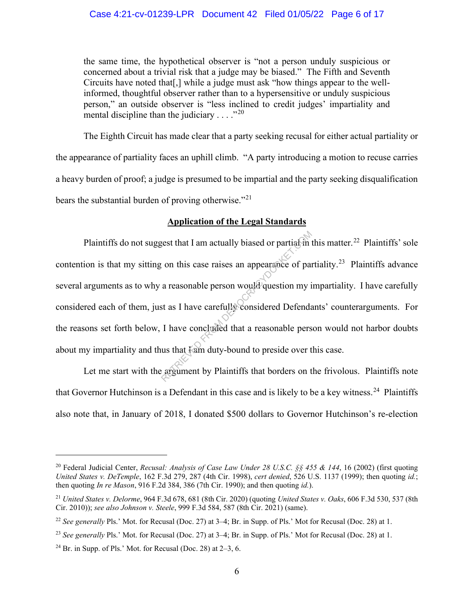### Case 4:21-cv-01239-LPR Document 42 Filed 01/05/22 Page 6 of 17

the same time, the hypothetical observer is "not a person unduly suspicious or concerned about a trivial risk that a judge may be biased." The Fifth and Seventh Circuits have noted that[,] while a judge must ask "how things appear to the wellinformed, thoughtful observer rather than to a hypersensitive or unduly suspicious person," an outside observer is "less inclined to credit judges' impartiality and mental discipline than the judiciary  $\dots$ ."<sup>20</sup>

The Eighth Circuit has made clear that a party seeking recusal for either actual partiality or the appearance of partiality faces an uphill climb. "A party introducing a motion to recuse carries a heavy burden of proof; a judge is presumed to be impartial and the party seeking disqualification bears the substantial burden of proving otherwise."<sup>21</sup>

# **Application of the Legal Standards**

Plaintiffs do not suggest that I am actually biased or partial in this matter.<sup>22</sup> Plaintiffs' sole contention is that my sitting on this case raises an appearance of partiality.<sup>23</sup> Plaintiffs advance several arguments as to why a reasonable person would question my impartiality. I have carefully considered each of them, just as I have carefully considered Defendants' counterarguments. For the reasons set forth below, I have concluded that a reasonable person would not harbor doubts about my impartiality and thus that I am duty-bound to preside over this case. Rest that I am actually biased or partial in the concluded that a reasonable person would question my is that I have carefully considered Defenda<br>I have concluded that a reasonable pers us that I am duty-bound to preside o

Let me start with the argument by Plaintiffs that borders on the frivolous. Plaintiffs note that Governor Hutchinson is a Defendant in this case and is likely to be a key witness.<sup>24</sup> Plaintiffs also note that, in January of 2018, I donated \$500 dollars to Governor Hutchinson's re-election

<sup>20</sup> Federal Judicial Center, *Recusal: Analysis of Case Law Under 28 U.S.C. §§ 455 & 144*, 16 (2002) (first quoting *United States v. DeTemple*, 162 F.3d 279, 287 (4th Cir. 1998), *cert denied*, 526 U.S. 1137 (1999); then quoting *id.*; then quoting *In re Mason*, 916 F.2d 384, 386 (7th Cir. 1990); and then quoting *id.*).

<sup>21</sup> *United States v. Delorme*, 964 F.3d 678, 681 (8th Cir. 2020) (quoting *United States v. Oaks*, 606 F.3d 530, 537 (8th Cir. 2010)); *see also Johnson v. Steele*, 999 F.3d 584, 587 (8th Cir. 2021) (same).

<sup>&</sup>lt;sup>22</sup> *See generally Pls.*' Mot. for Recusal (Doc. 27) at 3–4; Br. in Supp. of Pls.' Mot for Recusal (Doc. 28) at 1.

<sup>&</sup>lt;sup>23</sup> *See generally* Pls.' Mot. for Recusal (Doc. 27) at 3–4; Br. in Supp. of Pls.' Mot for Recusal (Doc. 28) at 1.

<sup>&</sup>lt;sup>24</sup> Br. in Supp. of Pls.' Mot. for Recusal (Doc. 28) at  $2-3$ , 6.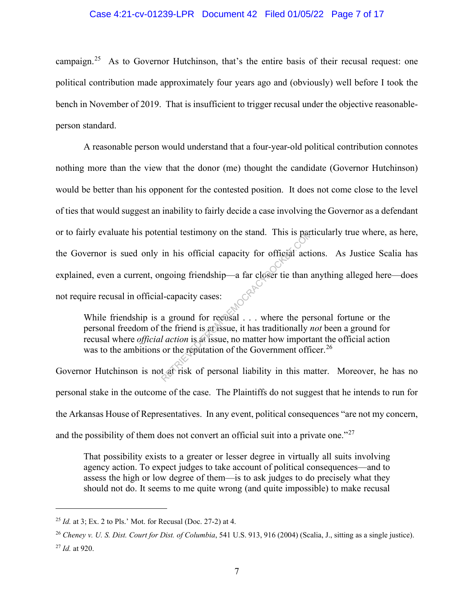#### Case 4:21-cv-01239-LPR Document 42 Filed 01/05/22 Page 7 of 17

campaign.25 As to Governor Hutchinson, that's the entire basis of their recusal request: one political contribution made approximately four years ago and (obviously) well before I took the bench in November of 2019. That is insufficient to trigger recusal under the objective reasonableperson standard.

A reasonable person would understand that a four-year-old political contribution connotes nothing more than the view that the donor (me) thought the candidate (Governor Hutchinson) would be better than his opponent for the contested position. It does not come close to the level of ties that would suggest an inability to fairly decide a case involving the Governor as a defendant or to fairly evaluate his potential testimony on the stand. This is particularly true where, as here, the Governor is sued only in his official capacity for official actions. As Justice Scalia has explained, even a current, ongoing friendship—a far closer tie than anything alleged here—does not require recusal in official-capacity cases: The stand. This is particular test<br>in his official capacity for official action<br>in his official capacity for official action<br>in going friendship—a far closer tie than a<br>l-capacity cases:<br>a ground for recusal . . . where th

While friendship is a ground for recusal . . . where the personal fortune or the personal freedom of the friend is at issue, it has traditionally *not* been a ground for recusal where *official action* is at issue, no matter how important the official action was to the ambitions or the reputation of the Government officer.<sup>26</sup>

Governor Hutchinson is not at risk of personal liability in this matter. Moreover, he has no personal stake in the outcome of the case. The Plaintiffs do not suggest that he intends to run for the Arkansas House of Representatives. In any event, political consequences "are not my concern, and the possibility of them does not convert an official suit into a private one." $27$ 

That possibility exists to a greater or lesser degree in virtually all suits involving agency action. To expect judges to take account of political consequences—and to assess the high or low degree of them—is to ask judges to do precisely what they should not do. It seems to me quite wrong (and quite impossible) to make recusal

<sup>25</sup> *Id.* at 3; Ex. 2 to Pls.' Mot. for Recusal (Doc. 27-2) at 4.

<sup>26</sup> *Cheney v. U. S. Dist. Court for Dist. of Columbia*, 541 U.S. 913, 916 (2004) (Scalia, J., sitting as a single justice). <sup>27</sup> *Id.* at 920.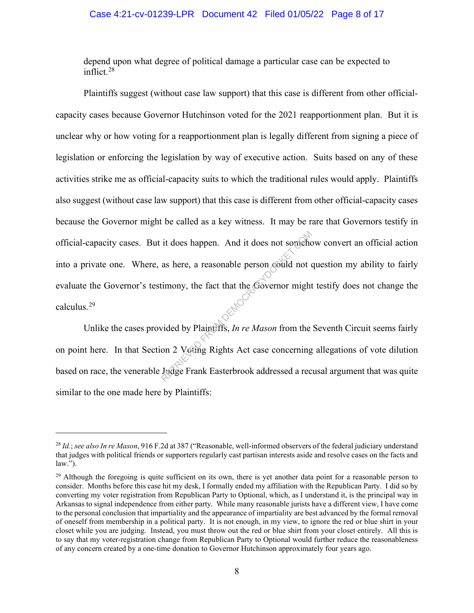#### Case 4:21-cv-01239-LPR Document 42 Filed 01/05/22 Page 8 of 17

depend upon what degree of political damage a particular case can be expected to inflict.<sup>28</sup>

Plaintiffs suggest (without case law support) that this case is different from other officialcapacity cases because Governor Hutchinson voted for the 2021 reapportionment plan. But it is unclear why or how voting for a reapportionment plan is legally different from signing a piece of legislation or enforcing the legislation by way of executive action. Suits based on any of these activities strike me as official-capacity suits to which the traditional rules would apply. Plaintiffs also suggest (without case law support) that this case is different from other official-capacity cases because the Governor might be called as a key witness. It may be rare that Governors testify in official-capacity cases. But it does happen. And it does not somehow convert an official action into a private one. Where, as here, a reasonable person could not question my ability to fairly evaluate the Governor's testimony, the fact that the Governor might testify does not change the calculus.29 it does happen. And it does not somehor<br>as here, a reasonable person could not of<br>timony, the fact that the Governor might<br>vided by Plaintiffs, In re Mason from the<br>on 2 Voting Rights Act case concerning<br>Judge Frank Easter

Unlike the cases provided by Plaintiffs, *In re Mason* from the Seventh Circuit seems fairly on point here. In that Section 2 Voting Rights Act case concerning allegations of vote dilution based on race, the venerable Judge Frank Easterbrook addressed a recusal argument that was quite similar to the one made here by Plaintiffs:

<sup>28</sup> *Id.*; *see also In re Mason*, 916 F.2d at 387 ("Reasonable, well-informed observers of the federal judiciary understand that judges with political friends or supporters regularly cast partisan interests aside and resolve cases on the facts and law.").

 $29$  Although the foregoing is quite sufficient on its own, there is yet another data point for a reasonable person to consider. Months before this case hit my desk, I formally ended my affiliation with the Republican Party. I did so by converting my voter registration from Republican Party to Optional, which, as I understand it, is the principal way in Arkansas to signal independence from either party. While many reasonable jurists have a different view, I have come to the personal conclusion that impartiality and the appearance of impartiality are best advanced by the formal removal of oneself from membership in a political party. It is not enough, in my view, to ignore the red or blue shirt in your closet while you are judging. Instead, you must throw out the red or blue shirt from your closet entirely. All this is to say that my voter-registration change from Republican Party to Optional would further reduce the reasonableness of any concern created by a one-time donation to Governor Hutchinson approximately four years ago.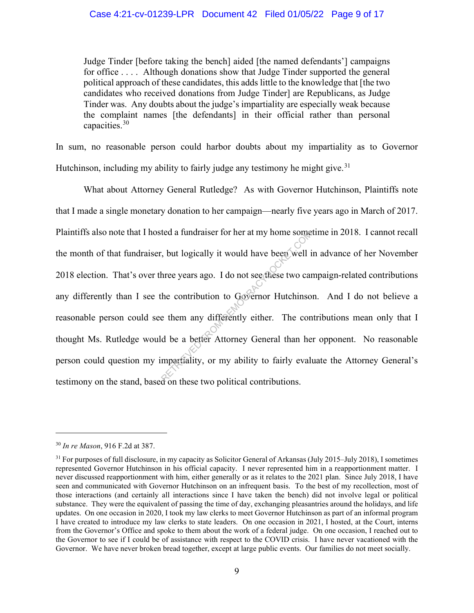### Case 4:21-cv-01239-LPR Document 42 Filed 01/05/22 Page 9 of 17

Judge Tinder [before taking the bench] aided [the named defendants'] campaigns for office . . . . Although donations show that Judge Tinder supported the general political approach of these candidates, this adds little to the knowledge that [the two candidates who received donations from Judge Tinder] are Republicans, as Judge Tinder was. Any doubts about the judge's impartiality are especially weak because the complaint names [the defendants] in their official rather than personal capacities.<sup>30</sup>

In sum, no reasonable person could harbor doubts about my impartiality as to Governor Hutchinson, including my ability to fairly judge any testimony he might give.<sup>31</sup>

 What about Attorney General Rutledge? As with Governor Hutchinson, Plaintiffs note that I made a single monetary donation to her campaign—nearly five years ago in March of 2017. Plaintiffs also note that I hosted a fundraiser for her at my home sometime in 2018. I cannot recall the month of that fundraiser, but logically it would have been well in advance of her November 2018 election. That's over three years ago. I do not see these two campaign-related contributions any differently than I see the contribution to Governor Hutchinson. And I do not believe a reasonable person could see them any differently either. The contributions mean only that I thought Ms. Rutledge would be a better Attorney General than her opponent. No reasonable person could question my impartiality, or my ability to fairly evaluate the Attorney General's testimony on the stand, based on these two political contributions. red a fundraiser for her at my home some<br>
by the solution of the been well is<br>
three years ago. I do not see these two can<br>
the contribution to Governor Hutchinso<br>
e them any differently either. The con<br>
d be a better Atto

<sup>30</sup> *In re Mason*, 916 F.2d at 387.

 $31$  For purposes of full disclosure, in my capacity as Solicitor General of Arkansas (July 2015–July 2018), I sometimes represented Governor Hutchinson in his official capacity. I never represented him in a reapportionment matter. I never discussed reapportionment with him, either generally or as it relates to the 2021 plan. Since July 2018, I have seen and communicated with Governor Hutchinson on an infrequent basis. To the best of my recollection, most of those interactions (and certainly all interactions since I have taken the bench) did not involve legal or political substance. They were the equivalent of passing the time of day, exchanging pleasantries around the holidays, and life updates. On one occasion in 2020, I took my law clerks to meet Governor Hutchinson as part of an informal program I have created to introduce my law clerks to state leaders. On one occasion in 2021, I hosted, at the Court, interns from the Governor's Office and spoke to them about the work of a federal judge. On one occasion, I reached out to the Governor to see if I could be of assistance with respect to the COVID crisis. I have never vacationed with the Governor. We have never broken bread together, except at large public events. Our families do not meet socially.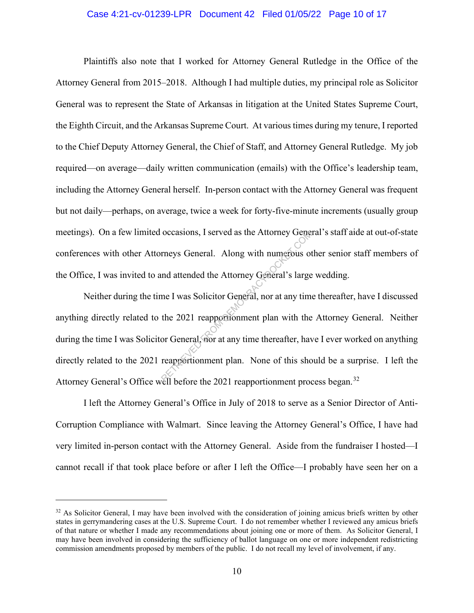#### Case 4:21-cv-01239-LPR Document 42 Filed 01/05/22 Page 10 of 17

Plaintiffs also note that I worked for Attorney General Rutledge in the Office of the Attorney General from 2015–2018. Although I had multiple duties, my principal role as Solicitor General was to represent the State of Arkansas in litigation at the United States Supreme Court, the Eighth Circuit, and the Arkansas Supreme Court. At various times during my tenure, I reported to the Chief Deputy Attorney General, the Chief of Staff, and Attorney General Rutledge. My job required—on average—daily written communication (emails) with the Office's leadership team, including the Attorney General herself. In-person contact with the Attorney General was frequent but not daily—perhaps, on average, twice a week for forty-five-minute increments (usually group meetings). On a few limited occasions, I served as the Attorney General's staff aide at out-of-state conferences with other Attorneys General. Along with numerous other senior staff members of the Office, I was invited to and attended the Attorney General's large wedding.

Neither during the time I was Solicitor General, nor at any time thereafter, have I discussed anything directly related to the 2021 reapportionment plan with the Attorney General. Neither during the time I was Solicitor General, nor at any time thereafter, have I ever worked on anything directly related to the 2021 reapportionment plan. None of this should be a surprise. I left the Attorney General's Office well before the 2021 reapportionment process began.<sup>32</sup> occasions, I served as the Attorney General<br>rneys General. Along with numerous of<br>and attended the Attorney General's large<br>me I was Solicitor General, nor at any time<br>the 2021 reapportionment plan with the<br>or General, nor

I left the Attorney General's Office in July of 2018 to serve as a Senior Director of Anti-Corruption Compliance with Walmart. Since leaving the Attorney General's Office, I have had very limited in-person contact with the Attorney General. Aside from the fundraiser I hosted—I cannot recall if that took place before or after I left the Office––I probably have seen her on a

 $32$  As Solicitor General, I may have been involved with the consideration of joining amicus briefs written by other states in gerrymandering cases at the U.S. Supreme Court. I do not remember whether I reviewed any amicus briefs of that nature or whether I made any recommendations about joining one or more of them. As Solicitor General, I may have been involved in considering the sufficiency of ballot language on one or more independent redistricting commission amendments proposed by members of the public. I do not recall my level of involvement, if any.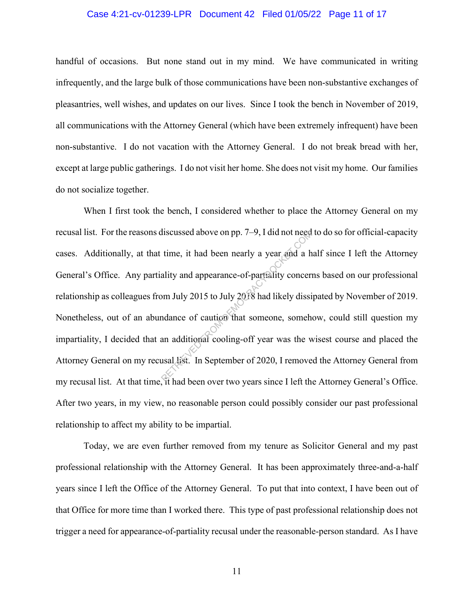#### Case 4:21-cv-01239-LPR Document 42 Filed 01/05/22 Page 11 of 17

handful of occasions. But none stand out in my mind. We have communicated in writing infrequently, and the large bulk of those communications have been non-substantive exchanges of pleasantries, well wishes, and updates on our lives. Since I took the bench in November of 2019, all communications with the Attorney General (which have been extremely infrequent) have been non-substantive. I do not vacation with the Attorney General. I do not break bread with her, except at large public gatherings. I do not visit her home. She does not visit my home. Our families do not socialize together.

When I first took the bench, I considered whether to place the Attorney General on my recusal list. For the reasons discussed above on pp. 7–9, I did not need to do so for official-capacity cases. Additionally, at that time, it had been nearly a year and a half since I left the Attorney General's Office. Any partiality and appearance-of-partiality concerns based on our professional relationship as colleagues from July 2015 to July 2018 had likely dissipated by November of 2019. Nonetheless, out of an abundance of caution that someone, somehow, could still question my impartiality, I decided that an additional cooling-off year was the wisest course and placed the Attorney General on my recusal list. In September of 2020, I removed the Attorney General from my recusal list. At that time, it had been over two years since I left the Attorney General's Office. After two years, in my view, no reasonable person could possibly consider our past professional relationship to affect my ability to be impartial. discussed above on pp. 7-9, I did not need<br>time, it had been nearly a year and a h<br>ality and appearance-of-partiality concer-<br>om July 2015 to July 2018 had likely dissi-<br>ndance of caution that someone, someh<br>an additional

Today, we are even further removed from my tenure as Solicitor General and my past professional relationship with the Attorney General. It has been approximately three-and-a-half years since I left the Office of the Attorney General. To put that into context, I have been out of that Office for more time than I worked there. This type of past professional relationship does not trigger a need for appearance-of-partiality recusal under the reasonable-person standard. As I have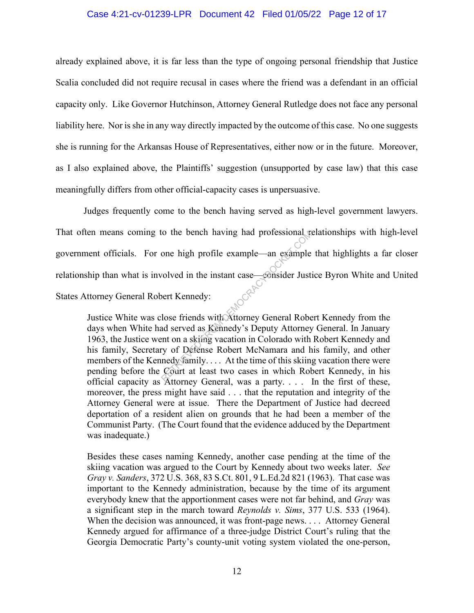#### Case 4:21-cv-01239-LPR Document 42 Filed 01/05/22 Page 12 of 17

already explained above, it is far less than the type of ongoing personal friendship that Justice Scalia concluded did not require recusal in cases where the friend was a defendant in an official capacity only. Like Governor Hutchinson, Attorney General Rutledge does not face any personal liability here. Nor is she in any way directly impacted by the outcome of this case. No one suggests she is running for the Arkansas House of Representatives, either now or in the future. Moreover, as I also explained above, the Plaintiffs' suggestion (unsupported by case law) that this case meaningfully differs from other official-capacity cases is unpersuasive.

Judges frequently come to the bench having served as high-level government lawyers. That often means coming to the bench having had professional relationships with high-level government officials. For one high profile example—an example that highlights a far closer relationship than what is involved in the instant case—consider Justice Byron White and United States Attorney General Robert Kennedy: to the bench having had protessional with<br>
one high profile example—an example<br>
volved in the instant case—consider Just<br>
bert Kennedy:<br>
lose friends with Attorney General Robe<br>
ad served as Kennedy's Deputy Attorney<br>
ent

Justice White was close friends with Attorney General Robert Kennedy from the days when White had served as Kennedy's Deputy Attorney General. In January 1963, the Justice went on a skiing vacation in Colorado with Robert Kennedy and his family, Secretary of Defense Robert McNamara and his family, and other members of the Kennedy family. . . . At the time of this skiing vacation there were pending before the Court at least two cases in which Robert Kennedy, in his official capacity as Attorney General, was a party. . . . In the first of these, moreover, the press might have said . . . that the reputation and integrity of the Attorney General were at issue. There the Department of Justice had decreed deportation of a resident alien on grounds that he had been a member of the Communist Party. (The Court found that the evidence adduced by the Department was inadequate.)

Besides these cases naming Kennedy, another case pending at the time of the skiing vacation was argued to the Court by Kennedy about two weeks later. *See Gray v. Sanders*, 372 U.S. 368, 83 S.Ct. 801, 9 L.Ed.2d 821 (1963). That case was important to the Kennedy administration, because by the time of its argument everybody knew that the apportionment cases were not far behind, and *Gray* was a significant step in the march toward *Reynolds v. Sims*, 377 U.S. 533 (1964). When the decision was announced, it was front-page news. . . . Attorney General Kennedy argued for affirmance of a three-judge District Court's ruling that the Georgia Democratic Party's county-unit voting system violated the one-person,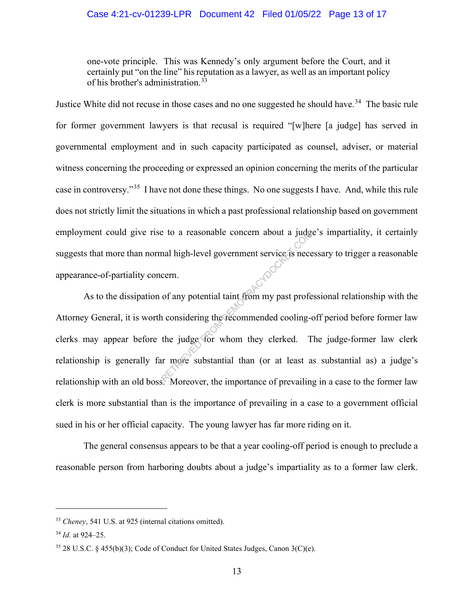### Case 4:21-cv-01239-LPR Document 42 Filed 01/05/22 Page 13 of 17

one-vote principle. This was Kennedy's only argument before the Court, and it certainly put "on the line" his reputation as a lawyer, as well as an important policy of his brother's administration.<sup>33</sup>

Justice White did not recuse in those cases and no one suggested he should have.<sup>34</sup> The basic rule for former government lawyers is that recusal is required "[w]here [a judge] has served in governmental employment and in such capacity participated as counsel, adviser, or material witness concerning the proceeding or expressed an opinion concerning the merits of the particular case in controversy."35 I have not done these things. No one suggests I have. And, while this rule does not strictly limit the situations in which a past professional relationship based on government employment could give rise to a reasonable concern about a judge's impartiality, it certainly suggests that more than normal high-level government service is necessary to trigger a reasonable appearance-of-partiality concern.

 As to the dissipation of any potential taint from my past professional relationship with the Attorney General, it is worth considering the recommended cooling-off period before former law clerks may appear before the judge for whom they clerked. The judge-former law clerk relationship is generally far more substantial than (or at least as substantial as) a judge's relationship with an old boss. Moreover, the importance of prevailing in a case to the former law clerk is more substantial than is the importance of prevailing in a case to a government official sued in his or her official capacity. The young lawyer has far more riding on it. Example concern about a judge<br>
Returnal high-level government service is nece<br>
cern.<br>
of any potential taint from my past profe<br>
n considering the recommended cooling-<br>
the judge for whom they clerked. The most substantial

 The general consensus appears to be that a year cooling-off period is enough to preclude a reasonable person from harboring doubts about a judge's impartiality as to a former law clerk.

<sup>33</sup> *Cheney*, 541 U.S. at 925 (internal citations omitted).

<sup>34</sup> *Id.* at 924–25.

 $35$  28 U.S.C. § 455(b)(3); Code of Conduct for United States Judges, Canon  $3(C)(e)$ .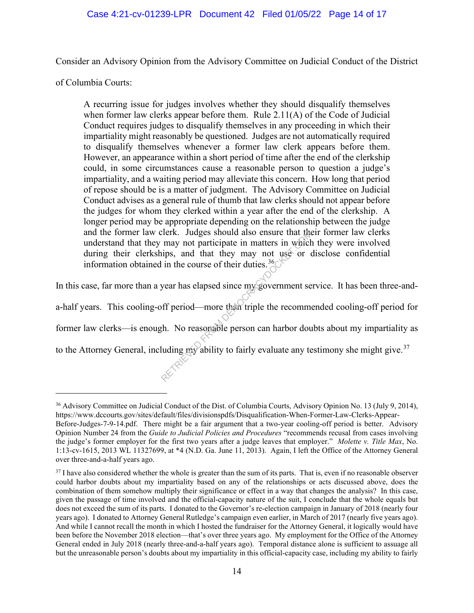## Case 4:21-cv-01239-LPR Document 42 Filed 01/05/22 Page 14 of 17

Consider an Advisory Opinion from the Advisory Committee on Judicial Conduct of the District

of Columbia Courts:

over three-and-a-half years ago.

A recurring issue for judges involves whether they should disqualify themselves when former law clerks appear before them. Rule 2.11(A) of the Code of Judicial Conduct requires judges to disqualify themselves in any proceeding in which their impartiality might reasonably be questioned. Judges are not automatically required to disqualify themselves whenever a former law clerk appears before them. However, an appearance within a short period of time after the end of the clerkship could, in some circumstances cause a reasonable person to question a judge's impartiality, and a waiting period may alleviate this concern. How long that period of repose should be is a matter of judgment. The Advisory Committee on Judicial Conduct advises as a general rule of thumb that law clerks should not appear before the judges for whom they clerked within a year after the end of the clerkship. A longer period may be appropriate depending on the relationship between the judge and the former law clerk. Judges should also ensure that their former law clerks understand that they may not participate in matters in which they were involved during their clerkships, and that they may not use or disclose confidential information obtained in the course of their duties.<sup>36</sup> $\circ$ Elerk. Judges should also ensure that the<br>may not participate in matters in which<br>ips, and that they may not use or  $\alpha$ <br>in the course of their duties.<sup>36</sup><br>year has elapsed since my government se<br>off period—more than tripl

In this case, far more than a year has elapsed since my government service. It has been three-and-

a-half years. This cooling-off period—more than triple the recommended cooling-off period for

former law clerks—is enough. No reasonable person can harbor doubts about my impartiality as

to the Attorney General, including my ability to fairly evaluate any testimony she might give.<sup>37</sup>

<sup>&</sup>lt;sup>36</sup> Advisory Committee on Judicial Conduct of the Dist. of Columbia Courts, Advisory Opinion No. 13 (July 9, 2014), https://www.dccourts.gov/sites/default/files/divisionspdfs/Disqualification-When-Former-Law-Clerks-Appear-Before-Judges-7-9-14.pdf. There might be a fair argument that a two-year cooling-off period is better. Advisory Opinion Number 24 from the *Guide to Judicial Policies and Procedures* "recommends recusal from cases involving the judge's former employer for the first two years after a judge leaves that employer." *Molette v. Title Max*, No. 1:13-cv-1615, 2013 WL 11327699, at \*4 (N.D. Ga. June 11, 2013). Again, I left the Office of the Attorney General

<sup>&</sup>lt;sup>37</sup> I have also considered whether the whole is greater than the sum of its parts. That is, even if no reasonable observer could harbor doubts about my impartiality based on any of the relationships or acts discussed above, does the combination of them somehow multiply their significance or effect in a way that changes the analysis? In this case, given the passage of time involved and the official-capacity nature of the suit, I conclude that the whole equals but does not exceed the sum of its parts. I donated to the Governor's re-election campaign in January of 2018 (nearly four years ago). I donated to Attorney General Rutledge's campaign even earlier, in March of 2017 (nearly five years ago). And while I cannot recall the month in which I hosted the fundraiser for the Attorney General, it logically would have been before the November 2018 election––that's over three years ago. My employment for the Office of the Attorney General ended in July 2018 (nearly three-and-a-half years ago). Temporal distance alone is sufficient to assuage all but the unreasonable person's doubts about my impartiality in this official-capacity case, including my ability to fairly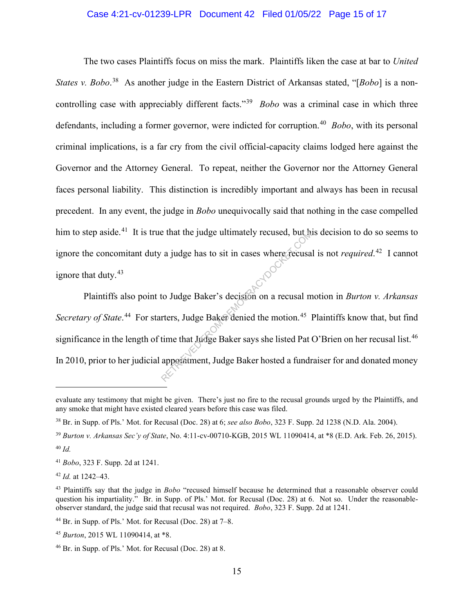### Case 4:21-cv-01239-LPR Document 42 Filed 01/05/22 Page 15 of 17

The two cases Plaintiffs focus on miss the mark. Plaintiffs liken the case at bar to *United*  States v. Bobo.<sup>38</sup> As another judge in the Eastern District of Arkansas stated, "[Bobo] is a noncontrolling case with appreciably different facts."39 *Bobo* was a criminal case in which three defendants, including a former governor, were indicted for corruption. 40 *Bobo*, with its personal criminal implications, is a far cry from the civil official-capacity claims lodged here against the Governor and the Attorney General. To repeat, neither the Governor nor the Attorney General faces personal liability. This distinction is incredibly important and always has been in recusal precedent. In any event, the judge in *Bobo* unequivocally said that nothing in the case compelled him to step aside.<sup>41</sup> It is true that the judge ultimately recused, but his decision to do so seems to ignore the concomitant duty a judge has to sit in cases where recusal is not *required*. 42 I cannot ignore that duty.<sup>43</sup>

Plaintiffs also point to Judge Baker's decision on a recusal motion in *Burton v. Arkansas*  Secretary of State.<sup>44</sup> For starters, Judge Baker denied the motion.<sup>45</sup> Plaintiffs know that, but find significance in the length of time that Judge Baker says she listed Pat O'Brien on her recusal list.<sup>46</sup> In 2010, prior to her judicial appointment, Judge Baker hosted a fundraiser for and donated money Example 11 a judge bas to sit in cases where recusal compared a judge bas to sit in cases where recusal m<br>to Judge Baker's decision on a recusal m<br>rters, Judge Baker denied the motion.<sup>45</sup> l<br>time that Judge Baker says she

evaluate any testimony that might be given. There's just no fire to the recusal grounds urged by the Plaintiffs, and any smoke that might have existed cleared years before this case was filed.

<sup>38</sup> Br. in Supp. of Pls.' Mot. for Recusal (Doc. 28) at 6; *see also Bobo*, 323 F. Supp. 2d 1238 (N.D. Ala. 2004).

<sup>39</sup> *Burton v. Arkansas Sec'y of State*, No. 4:11-cv-00710-KGB, 2015 WL 11090414, at \*8 (E.D. Ark. Feb. 26, 2015). <sup>40</sup> *Id.*

<sup>41</sup> *Bobo*, 323 F. Supp. 2d at 1241.

<sup>42</sup> *Id.* at 1242–43.

<sup>43</sup> Plaintiffs say that the judge in *Bobo* "recused himself because he determined that a reasonable observer could question his impartiality." Br. in Supp. of Pls.' Mot. for Recusal (Doc. 28) at 6. Not so. Under the reasonableobserver standard, the judge said that recusal was not required. *Bobo*, 323 F. Supp. 2d at 1241.

 $44$  Br. in Supp. of Pls.' Mot. for Recusal (Doc. 28) at  $7-8$ .

<sup>45</sup> *Burton*, 2015 WL 11090414, at \*8.

<sup>46</sup> Br. in Supp. of Pls.' Mot. for Recusal (Doc. 28) at 8.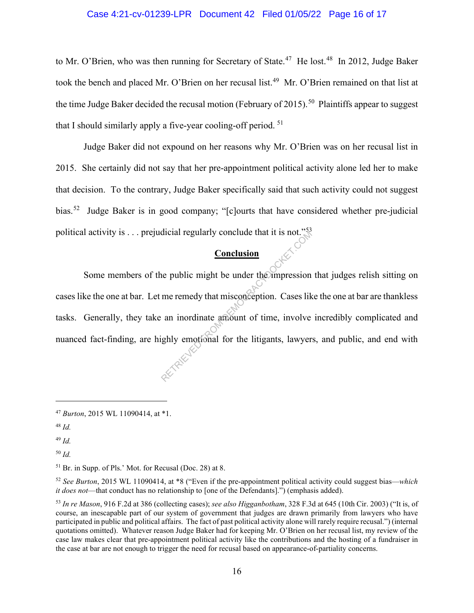#### Case 4:21-cv-01239-LPR Document 42 Filed 01/05/22 Page 16 of 17

to Mr. O'Brien, who was then running for Secretary of State.<sup>47</sup> He lost.<sup>48</sup> In 2012, Judge Baker took the bench and placed Mr. O'Brien on her recusal list. 49 Mr. O'Brien remained on that list at the time Judge Baker decided the recusal motion (February of 2015).<sup>50</sup> Plaintiffs appear to suggest that I should similarly apply a five-year cooling-off period.  $51$ 

Judge Baker did not expound on her reasons why Mr. O'Brien was on her recusal list in 2015. She certainly did not say that her pre-appointment political activity alone led her to make that decision. To the contrary, Judge Baker specifically said that such activity could not suggest bias.<sup>52</sup> Judge Baker is in good company; "[c]ourts that have considered whether pre-judicial political activity is  $\dots$  prejudicial regularly conclude that it is not."<sup>53</sup>

# **Conclusion**

Some members of the public might be under the impression that judges relish sitting on cases like the one at bar. Let me remedy that misconception. Cases like the one at bar are thankless tasks. Generally, they take an inordinate amount of time, involve incredibly complicated and nuanced fact-finding, are highly emotional for the litigants, lawyers, and public, and end with Conclusion<br>
Conclusion<br>
ne public might be under the impression<br>
me remedy that misconception. Cases lik<br>
an inordinate amount of time, involve<br>
ghly emotional for the litigants, lawyer

<sup>49</sup> *Id.*

<sup>50</sup> *Id.*

<sup>47</sup> *Burton*, 2015 WL 11090414, at \*1.

<sup>48</sup> *Id.*

<sup>51</sup> Br. in Supp. of Pls.' Mot. for Recusal (Doc. 28) at 8.

<sup>52</sup> *See Burton*, 2015 WL 11090414, at \*8 ("Even if the pre-appointment political activity could suggest bias—*which it does not*––that conduct has no relationship to [one of the Defendants].") (emphasis added).

<sup>53</sup> *In re Mason*, 916 F.2d at 386 (collecting cases); *see also Higganbotham*, 328 F.3d at 645 (10th Cir. 2003) ("It is, of course, an inescapable part of our system of government that judges are drawn primarily from lawyers who have participated in public and political affairs. The fact of past political activity alone will rarely require recusal.") (internal quotations omitted). Whatever reason Judge Baker had for keeping Mr. O'Brien on her recusal list, my review of the case law makes clear that pre-appointment political activity like the contributions and the hosting of a fundraiser in the case at bar are not enough to trigger the need for recusal based on appearance-of-partiality concerns.